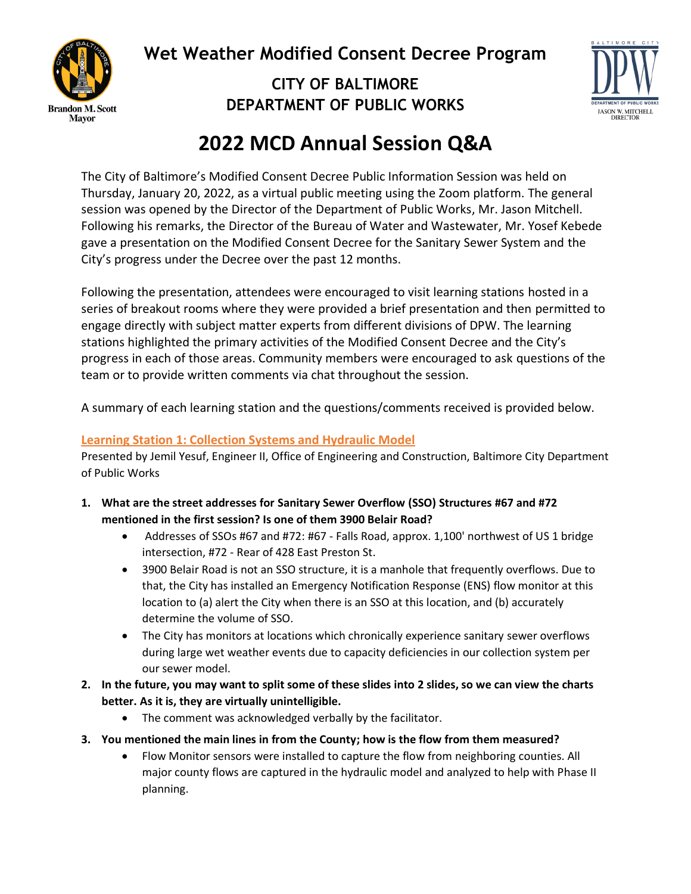

**Wet Weather Modified Consent Decree Program**

**CITY OF BALTIMORE DEPARTMENT OF PUBLIC WORKS**



# **2022 MCD Annual Session Q&A**

The City of Baltimore's Modified Consent Decree Public Information Session was held on Thursday, January 20, 2022, as a virtual public meeting using the Zoom platform. The general session was opened by the Director of the Department of Public Works, Mr. Jason Mitchell. Following his remarks, the Director of the Bureau of Water and Wastewater, Mr. Yosef Kebede gave a presentation on the Modified Consent Decree for the Sanitary Sewer System and the City's progress under the Decree over the past 12 months.

Following the presentation, attendees were encouraged to visit learning stations hosted in a series of breakout rooms where they were provided a brief presentation and then permitted to engage directly with subject matter experts from different divisions of DPW. The learning stations highlighted the primary activities of the Modified Consent Decree and the City's progress in each of those areas. Community members were encouraged to ask questions of the team or to provide written comments via chat throughout the session.

A summary of each learning station and the questions/comments received is provided below.

## **Learning Station 1: Collection Systems and Hydraulic Model**

Presented by Jemil Yesuf, Engineer II, Office of Engineering and Construction, Baltimore City Department of Public Works

- **1. What are the street addresses for Sanitary Sewer Overflow (SSO) Structures #67 and #72 mentioned in the first session? Is one of them 3900 Belair Road?**
	- Addresses of SSOs #67 and #72: #67 Falls Road, approx. 1,100' northwest of US 1 bridge intersection, #72 - Rear of 428 East Preston St.
	- 3900 Belair Road is not an SSO structure, it is a manhole that frequently overflows. Due to that, the City has installed an Emergency Notification Response (ENS) flow monitor at this location to (a) alert the City when there is an SSO at this location, and (b) accurately determine the volume of SSO.
	- The City has monitors at locations which chronically experience sanitary sewer overflows during large wet weather events due to capacity deficiencies in our collection system per our sewer model.
- **2. In the future, you may want to split some of these slides into 2 slides, so we can view the charts better. As it is, they are virtually unintelligible.**
	- The comment was acknowledged verbally by the facilitator.
- **3. You mentioned the main lines in from the County; how is the flow from them measured?**
	- Flow Monitor sensors were installed to capture the flow from neighboring counties. All major county flows are captured in the hydraulic model and analyzed to help with Phase II planning.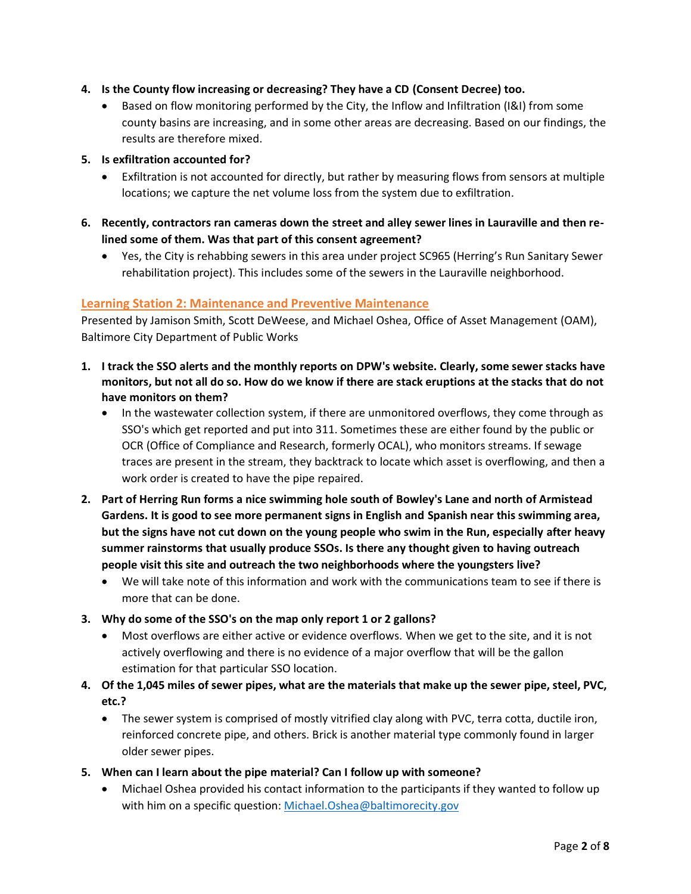- **4. Is the County flow increasing or decreasing? They have a CD (Consent Decree) too.**
	- Based on flow monitoring performed by the City, the Inflow and Infiltration (I&I) from some county basins are increasing, and in some other areas are decreasing. Based on our findings, the results are therefore mixed.
- **5. Is exfiltration accounted for?**
	- Exfiltration is not accounted for directly, but rather by measuring flows from sensors at multiple locations; we capture the net volume loss from the system due to exfiltration.
- **6. Recently, contractors ran cameras down the street and alley sewer lines in Lauraville and then relined some of them. Was that part of this consent agreement?**
	- Yes, the City is rehabbing sewers in this area under project SC965 (Herring's Run Sanitary Sewer rehabilitation project). This includes some of the sewers in the Lauraville neighborhood.

#### **Learning Station 2: Maintenance and Preventive Maintenance**

Presented by Jamison Smith, Scott DeWeese, and Michael Oshea, Office of Asset Management (OAM), Baltimore City Department of Public Works

- **1. I track the SSO alerts and the monthly reports on DPW's website. Clearly, some sewer stacks have monitors, but not all do so. How do we know if there are stack eruptions at the stacks that do not have monitors on them?**
	- In the wastewater collection system, if there are unmonitored overflows, they come through as SSO's which get reported and put into 311. Sometimes these are either found by the public or OCR (Office of Compliance and Research, formerly OCAL), who monitors streams. If sewage traces are present in the stream, they backtrack to locate which asset is overflowing, and then a work order is created to have the pipe repaired.
- **2. Part of Herring Run forms a nice swimming hole south of Bowley's Lane and north of Armistead Gardens. It is good to see more permanent signs in English and Spanish near this swimming area, but the signs have not cut down on the young people who swim in the Run, especially after heavy summer rainstorms that usually produce SSOs. Is there any thought given to having outreach people visit this site and outreach the two neighborhoods where the youngsters live?**
	- We will take note of this information and work with the communications team to see if there is more that can be done.
- **3. Why do some of the SSO's on the map only report 1 or 2 gallons?**
	- Most overflows are either active or evidence overflows. When we get to the site, and it is not actively overflowing and there is no evidence of a major overflow that will be the gallon estimation for that particular SSO location.
- **4. Of the 1,045 miles of sewer pipes, what are the materials that make up the sewer pipe, steel, PVC, etc.?**
	- The sewer system is comprised of mostly vitrified clay along with PVC, terra cotta, ductile iron, reinforced concrete pipe, and others. Brick is another material type commonly found in larger older sewer pipes.
- **5. When can I learn about the pipe material? Can I follow up with someone?**
	- Michael Oshea provided his contact information to the participants if they wanted to follow up with him on a specific question: [Michael.Oshea@baltimorecity.gov](mailto:Michael.Oshea@baltimorecity.gov)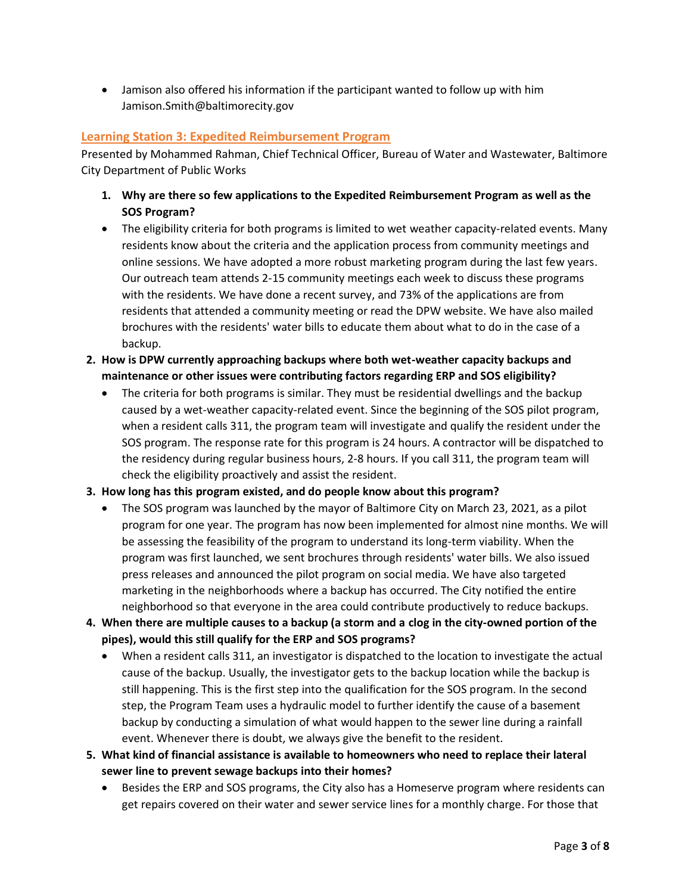• Jamison also offered his information if the participant wanted to follow up with him Jamison.Smith@baltimorecity.gov

#### **Learning Station 3: Expedited Reimbursement Program**

Presented by Mohammed Rahman, Chief Technical Officer, Bureau of Water and Wastewater, Baltimore City Department of Public Works

- **1. Why are there so few applications to the Expedited Reimbursement Program as well as the SOS Program?**
- The eligibility criteria for both programs is limited to wet weather capacity-related events. Many residents know about the criteria and the application process from community meetings and online sessions. We have adopted a more robust marketing program during the last few years. Our outreach team attends 2-15 community meetings each week to discuss these programs with the residents. We have done a recent survey, and 73% of the applications are from residents that attended a community meeting or read the DPW website. We have also mailed brochures with the residents' water bills to educate them about what to do in the case of a backup.
- **2. How is DPW currently approaching backups where both wet-weather capacity backups and maintenance or other issues were contributing factors regarding ERP and SOS eligibility?**
	- The criteria for both programs is similar. They must be residential dwellings and the backup caused by a wet-weather capacity-related event. Since the beginning of the SOS pilot program, when a resident calls 311, the program team will investigate and qualify the resident under the SOS program. The response rate for this program is 24 hours. A contractor will be dispatched to the residency during regular business hours, 2-8 hours. If you call 311, the program team will check the eligibility proactively and assist the resident.
- **3. How long has this program existed, and do people know about this program?**
	- The SOS program was launched by the mayor of Baltimore City on March 23, 2021, as a pilot program for one year. The program has now been implemented for almost nine months. We will be assessing the feasibility of the program to understand its long-term viability. When the program was first launched, we sent brochures through residents' water bills. We also issued press releases and announced the pilot program on social media. We have also targeted marketing in the neighborhoods where a backup has occurred. The City notified the entire neighborhood so that everyone in the area could contribute productively to reduce backups.
- **4. When there are multiple causes to a backup (a storm and a clog in the city-owned portion of the pipes), would this still qualify for the ERP and SOS programs?**
	- When a resident calls 311, an investigator is dispatched to the location to investigate the actual cause of the backup. Usually, the investigator gets to the backup location while the backup is still happening. This is the first step into the qualification for the SOS program. In the second step, the Program Team uses a hydraulic model to further identify the cause of a basement backup by conducting a simulation of what would happen to the sewer line during a rainfall event. Whenever there is doubt, we always give the benefit to the resident.
- **5. What kind of financial assistance is available to homeowners who need to replace their lateral sewer line to prevent sewage backups into their homes?**
	- Besides the ERP and SOS programs, the City also has a Homeserve program where residents can get repairs covered on their water and sewer service lines for a monthly charge. For those that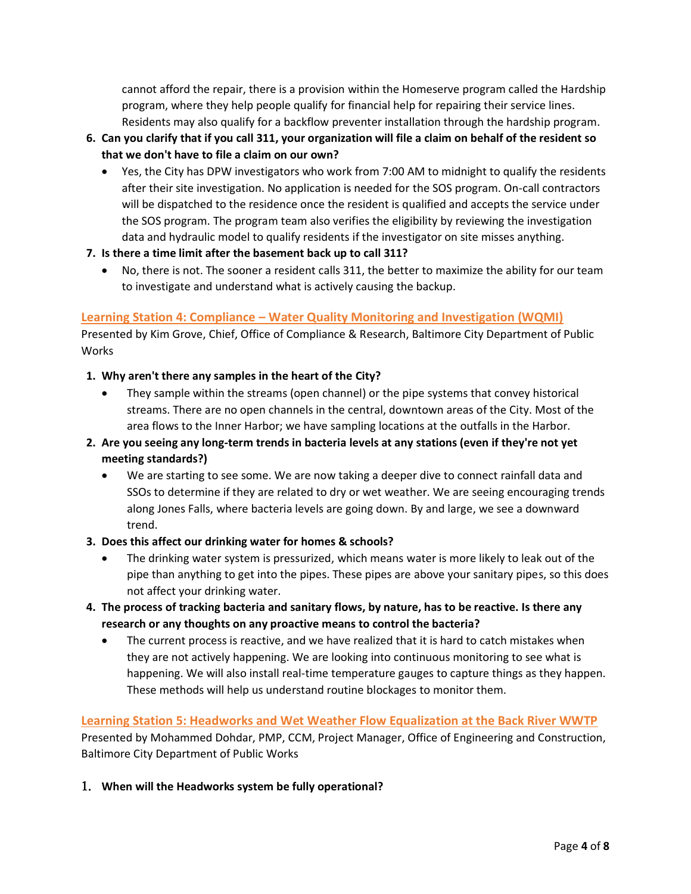cannot afford the repair, there is a provision within the Homeserve program called the Hardship program, where they help people qualify for financial help for repairing their service lines. Residents may also qualify for a backflow preventer installation through the hardship program.

- **6. Can you clarify that if you call 311, your organization will file a claim on behalf of the resident so that we don't have to file a claim on our own?**
	- Yes, the City has DPW investigators who work from 7:00 AM to midnight to qualify the residents after their site investigation. No application is needed for the SOS program. On-call contractors will be dispatched to the residence once the resident is qualified and accepts the service under the SOS program. The program team also verifies the eligibility by reviewing the investigation data and hydraulic model to qualify residents if the investigator on site misses anything.
- **7. Is there a time limit after the basement back up to call 311?** 
	- No, there is not. The sooner a resident calls 311, the better to maximize the ability for our team to investigate and understand what is actively causing the backup.

#### **Learning Station 4: Compliance – Water Quality Monitoring and Investigation (WQMI)**

Presented by Kim Grove, Chief, Office of Compliance & Research, Baltimore City Department of Public Works

- **1. Why aren't there any samples in the heart of the City?**
	- They sample within the streams (open channel) or the pipe systems that convey historical streams. There are no open channels in the central, downtown areas of the City. Most of the area flows to the Inner Harbor; we have sampling locations at the outfalls in the Harbor.
- **2. Are you seeing any long-term trends in bacteria levels at any stations (even if they're not yet meeting standards?)**
	- We are starting to see some. We are now taking a deeper dive to connect rainfall data and SSOs to determine if they are related to dry or wet weather. We are seeing encouraging trends along Jones Falls, where bacteria levels are going down. By and large, we see a downward trend.
- **3. Does this affect our drinking water for homes & schools?**
	- The drinking water system is pressurized, which means water is more likely to leak out of the pipe than anything to get into the pipes. These pipes are above your sanitary pipes, so this does not affect your drinking water.
- **4. The process of tracking bacteria and sanitary flows, by nature, has to be reactive. Is there any research or any thoughts on any proactive means to control the bacteria?**
	- The current process is reactive, and we have realized that it is hard to catch mistakes when they are not actively happening. We are looking into continuous monitoring to see what is happening. We will also install real-time temperature gauges to capture things as they happen. These methods will help us understand routine blockages to monitor them.

#### **Learning Station 5: Headworks and Wet Weather Flow Equalization at the Back River WWTP**

Presented by Mohammed Dohdar, PMP, CCM, Project Manager, Office of Engineering and Construction, Baltimore City Department of Public Works

1. **When will the Headworks system be fully operational?**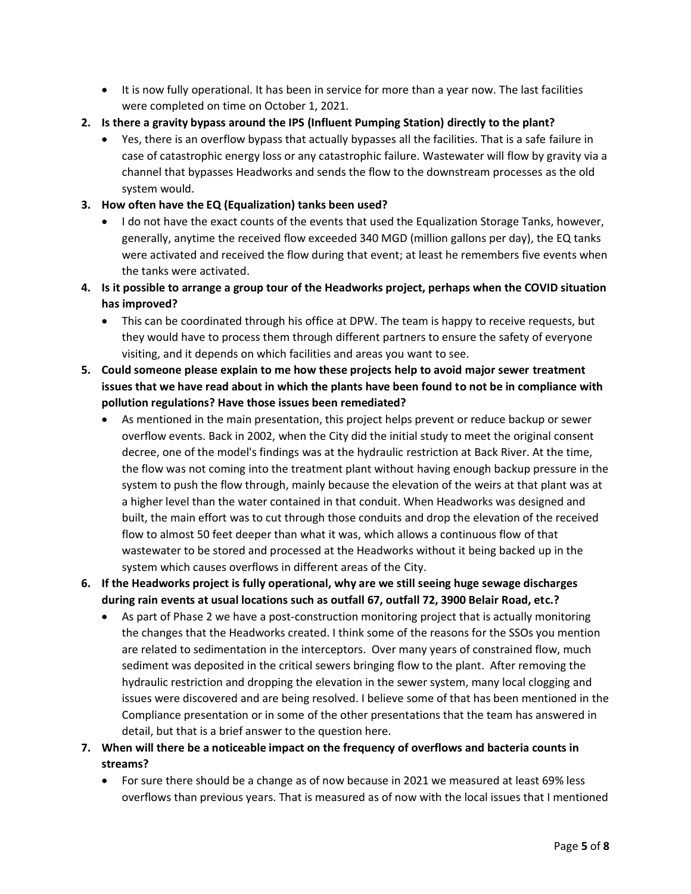- It is now fully operational. It has been in service for more than a year now. The last facilities were completed on time on October 1, 2021.
- **2. Is there a gravity bypass around the IPS (Influent Pumping Station) directly to the plant?**
	- Yes, there is an overflow bypass that actually bypasses all the facilities. That is a safe failure in case of catastrophic energy loss or any catastrophic failure. Wastewater will flow by gravity via a channel that bypasses Headworks and sends the flow to the downstream processes as the old system would.
- **3. How often have the EQ (Equalization) tanks been used?**
	- I do not have the exact counts of the events that used the Equalization Storage Tanks, however, generally, anytime the received flow exceeded 340 MGD (million gallons per day), the EQ tanks were activated and received the flow during that event; at least he remembers five events when the tanks were activated.
- **4. Is it possible to arrange a group tour of the Headworks project, perhaps when the COVID situation has improved?**
	- This can be coordinated through his office at DPW. The team is happy to receive requests, but they would have to process them through different partners to ensure the safety of everyone visiting, and it depends on which facilities and areas you want to see.
- **5. Could someone please explain to me how these projects help to avoid major sewer treatment issues that we have read about in which the plants have been found to not be in compliance with pollution regulations? Have those issues been remediated?**
	- As mentioned in the main presentation, this project helps prevent or reduce backup or sewer overflow events. Back in 2002, when the City did the initial study to meet the original consent decree, one of the model's findings was at the hydraulic restriction at Back River. At the time, the flow was not coming into the treatment plant without having enough backup pressure in the system to push the flow through, mainly because the elevation of the weirs at that plant was at a higher level than the water contained in that conduit. When Headworks was designed and built, the main effort was to cut through those conduits and drop the elevation of the received flow to almost 50 feet deeper than what it was, which allows a continuous flow of that wastewater to be stored and processed at the Headworks without it being backed up in the system which causes overflows in different areas of the City.
- **6. If the Headworks project is fully operational, why are we still seeing huge sewage discharges during rain events at usual locations such as outfall 67, outfall 72, 3900 Belair Road, etc.?**
	- As part of Phase 2 we have a post-construction monitoring project that is actually monitoring the changes that the Headworks created. I think some of the reasons for the SSOs you mention are related to sedimentation in the interceptors. Over many years of constrained flow, much sediment was deposited in the critical sewers bringing flow to the plant. After removing the hydraulic restriction and dropping the elevation in the sewer system, many local clogging and issues were discovered and are being resolved. I believe some of that has been mentioned in the Compliance presentation or in some of the other presentations that the team has answered in detail, but that is a brief answer to the question here.
- **7. When will there be a noticeable impact on the frequency of overflows and bacteria counts in streams?**
	- For sure there should be a change as of now because in 2021 we measured at least 69% less overflows than previous years. That is measured as of now with the local issues that I mentioned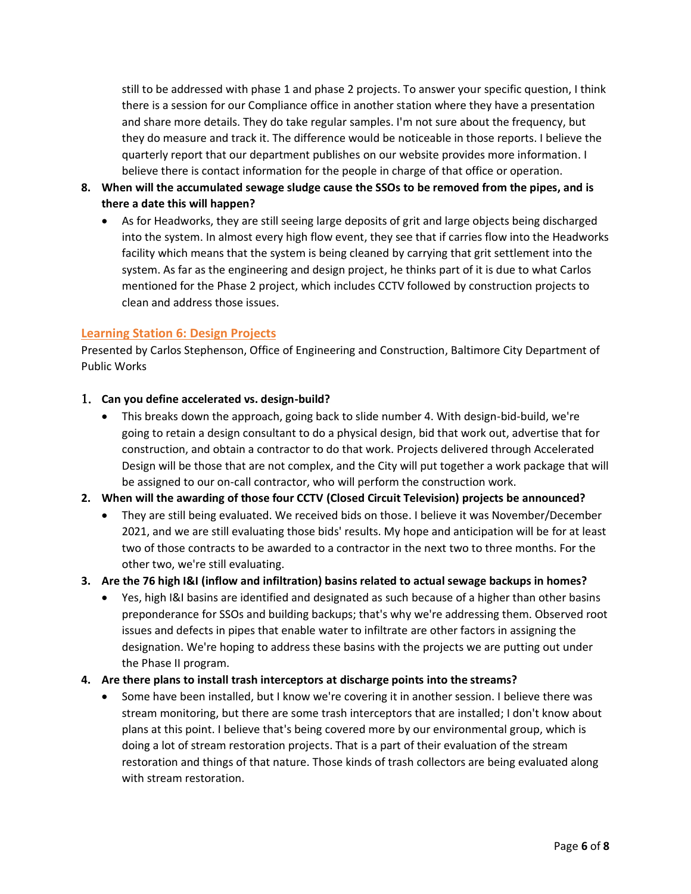still to be addressed with phase 1 and phase 2 projects. To answer your specific question, I think there is a session for our Compliance office in another station where they have a presentation and share more details. They do take regular samples. I'm not sure about the frequency, but they do measure and track it. The difference would be noticeable in those reports. I believe the quarterly report that our department publishes on our website provides more information. I believe there is contact information for the people in charge of that office or operation.

- **8. When will the accumulated sewage sludge cause the SSOs to be removed from the pipes, and is there a date this will happen?**
	- As for Headworks, they are still seeing large deposits of grit and large objects being discharged into the system. In almost every high flow event, they see that if carries flow into the Headworks facility which means that the system is being cleaned by carrying that grit settlement into the system. As far as the engineering and design project, he thinks part of it is due to what Carlos mentioned for the Phase 2 project, which includes CCTV followed by construction projects to clean and address those issues.

#### **Learning Station 6: Design Projects**

Presented by Carlos Stephenson, Office of Engineering and Construction, Baltimore City Department of Public Works

#### 1. **Can you define accelerated vs. design-build?**

- This breaks down the approach, going back to slide number 4. With design-bid-build, we're going to retain a design consultant to do a physical design, bid that work out, advertise that for construction, and obtain a contractor to do that work. Projects delivered through Accelerated Design will be those that are not complex, and the City will put together a work package that will be assigned to our on-call contractor, who will perform the construction work.
- **2. When will the awarding of those four CCTV (Closed Circuit Television) projects be announced?**
	- They are still being evaluated. We received bids on those. I believe it was November/December 2021, and we are still evaluating those bids' results. My hope and anticipation will be for at least two of those contracts to be awarded to a contractor in the next two to three months. For the other two, we're still evaluating.
- **3. Are the 76 high I&I (inflow and infiltration) basins related to actual sewage backups in homes?**
	- Yes, high I&I basins are identified and designated as such because of a higher than other basins preponderance for SSOs and building backups; that's why we're addressing them. Observed root issues and defects in pipes that enable water to infiltrate are other factors in assigning the designation. We're hoping to address these basins with the projects we are putting out under the Phase II program.

#### **4. Are there plans to install trash interceptors at discharge points into the streams?**

• Some have been installed, but I know we're covering it in another session. I believe there was stream monitoring, but there are some trash interceptors that are installed; I don't know about plans at this point. I believe that's being covered more by our environmental group, which is doing a lot of stream restoration projects. That is a part of their evaluation of the stream restoration and things of that nature. Those kinds of trash collectors are being evaluated along with stream restoration.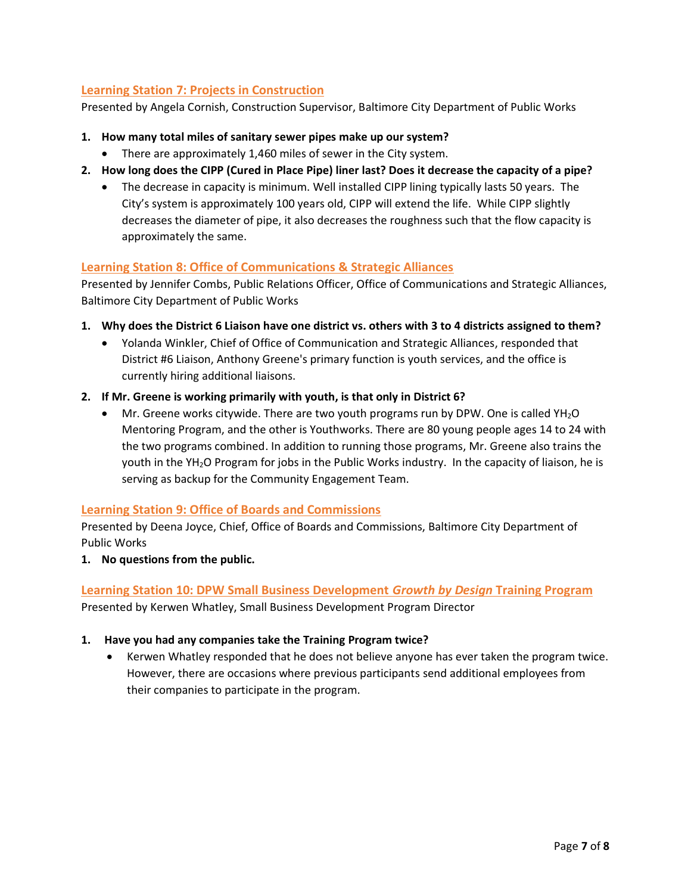### **Learning Station 7: Projects in Construction**

Presented by Angela Cornish, Construction Supervisor, Baltimore City Department of Public Works

- **1. How many total miles of sanitary sewer pipes make up our system?**
	- There are approximately 1,460 miles of sewer in the City system.
- **2. How long does the CIPP (Cured in Place Pipe) liner last? Does it decrease the capacity of a pipe?**
	- The decrease in capacity is minimum. Well installed CIPP lining typically lasts 50 years. The City's system is approximately 100 years old, CIPP will extend the life. While CIPP slightly decreases the diameter of pipe, it also decreases the roughness such that the flow capacity is approximately the same.

#### **Learning Station 8: Office of Communications & Strategic Alliances**

Presented by Jennifer Combs, Public Relations Officer, Office of Communications and Strategic Alliances, Baltimore City Department of Public Works

- **1. Why does the District 6 Liaison have one district vs. others with 3 to 4 districts assigned to them?**
	- Yolanda Winkler, Chief of Office of Communication and Strategic Alliances, responded that District #6 Liaison, Anthony Greene's primary function is youth services, and the office is currently hiring additional liaisons.
- **2. If Mr. Greene is working primarily with youth, is that only in District 6?**
	- Mr. Greene works citywide. There are two youth programs run by DPW. One is called  $YH_2O$ Mentoring Program, and the other is Youthworks. There are 80 young people ages 14 to 24 with the two programs combined. In addition to running those programs, Mr. Greene also trains the youth in the YH<sub>2</sub>O Program for jobs in the Public Works industry. In the capacity of liaison, he is serving as backup for the Community Engagement Team.

#### **Learning Station 9: Office of Boards and Commissions**

Presented by Deena Joyce, Chief, Office of Boards and Commissions, Baltimore City Department of Public Works

**1. No questions from the public.** 

#### **Learning Station 10: DPW Small Business Development** *Growth by Design* **Training Program**

Presented by Kerwen Whatley, Small Business Development Program Director

#### **1. Have you had any companies take the Training Program twice?**

• Kerwen Whatley responded that he does not believe anyone has ever taken the program twice. However, there are occasions where previous participants send additional employees from their companies to participate in the program.